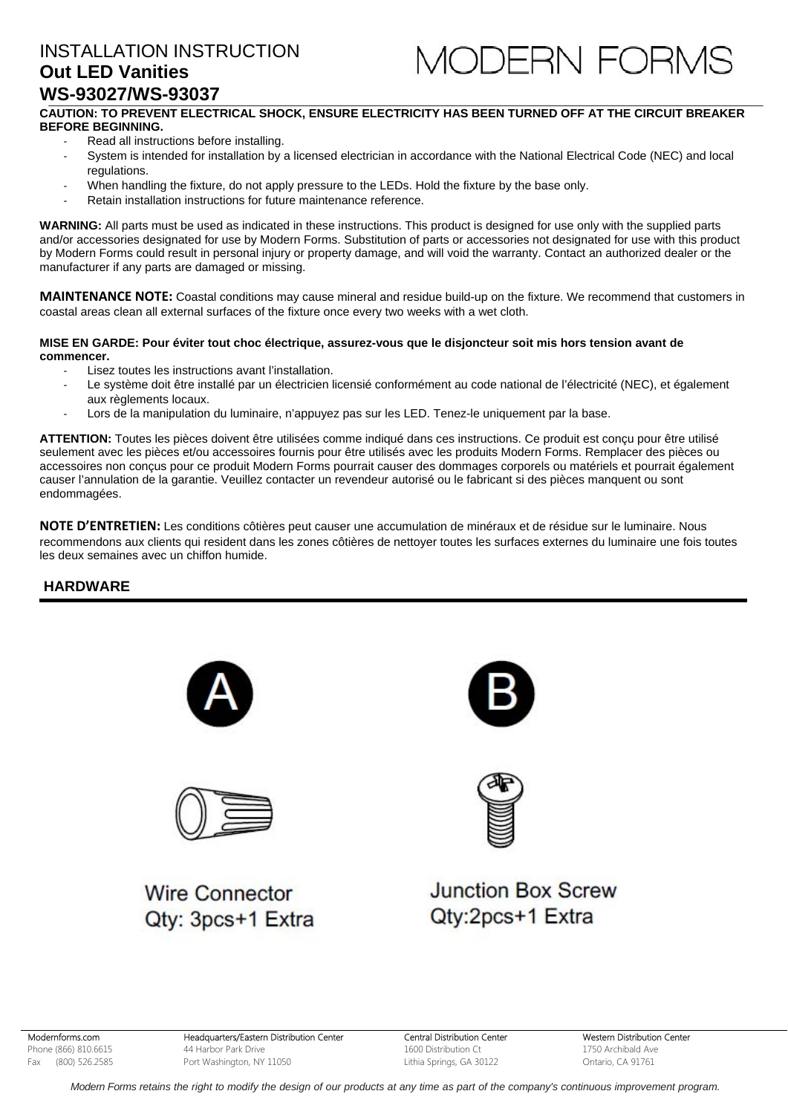# INSTALLATION INSTRUCTION **Out LED Vanities WS-93027/WS-93037**



### **CAUTION: TO PREVENT ELECTRICAL SHOCK, ENSURE ELECTRICITY HAS BEEN TURNED OFF AT THE CIRCUIT BREAKER BEFORE BEGINNING.**

- ‐ Read all instructions before installing.
- System is intended for installation by a licensed electrician in accordance with the National Electrical Code (NEC) and local regulations.
- When handling the fixture, do not apply pressure to the LEDs. Hold the fixture by the base only.
- ‐ Retain installation instructions for future maintenance reference.

**WARNING:** All parts must be used as indicated in these instructions. This product is designed for use only with the supplied parts and/or accessories designated for use by Modern Forms. Substitution of parts or accessories not designated for use with this product by Modern Forms could result in personal injury or property damage, and will void the warranty. Contact an authorized dealer or the manufacturer if any parts are damaged or missing.

**MAINTENANCE NOTE:** Coastal conditions may cause mineral and residue build-up on the fixture. We recommend that customers in coastal areas clean all external surfaces of the fixture once every two weeks with a wet cloth.

#### **MISE EN GARDE: Pour éviter tout choc électrique, assurez-vous que le disjoncteur soit mis hors tension avant de commencer.**

- Lisez toutes les instructions avant l'installation.
- Le système doit être installé par un électricien licensié conformément au code national de l'électricité (NEC), et également aux règlements locaux.
- ‐ Lors de la manipulation du luminaire, n'appuyez pas sur les LED. Tenez-le uniquement par la base.

**ATTENTION:** Toutes les pièces doivent être utilisées comme indiqué dans ces instructions. Ce produit est conçu pour être utilisé seulement avec les pièces et/ou accessoires fournis pour être utilisés avec les produits Modern Forms. Remplacer des pièces ou accessoires non conçus pour ce produit Modern Forms pourrait causer des dommages corporels ou matériels et pourrait également causer l'annulation de la garantie. Veuillez contacter un revendeur autorisé ou le fabricant si des pièces manquent ou sont endommagées.

**NOTE D'ENTRETIEN:** Les conditions côtières peut causer une accumulation de minéraux et de résidue sur le luminaire. Nous recommendons aux clients qui resident dans les zones côtières de nettoyer toutes les surfaces externes du luminaire une fois toutes les deux semaines avec un chiffon humide.

### **HARDWARE**





**Wire Connector** Qtv: 3pcs+1 Extra





# **Junction Box Screw** Qty:2pcs+1 Extra

Modernforms.com Phone (866) 810.6615 Fax (800) 526.2585

Headquarters/Eastern Distribution Center 44 Harbor Park Drive Port Washington, NY 11050

Central Distribution Center 1600 Distribution Ct Lithia Springs, GA 30122

Western Distribution Center 1750 Archibald Ave Ontario, CA 91761

 *Modern Forms retains the right to modify the design of our products at any time as part of the company's continuous improvement program.*